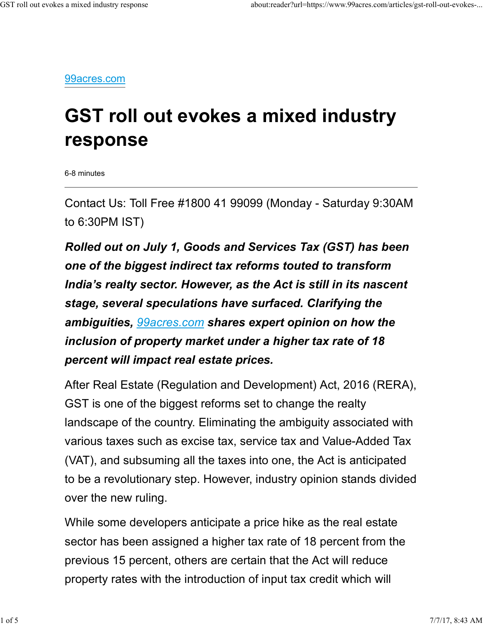99acres.com

# GST roll out evokes a mixed industry response

6-8 minutes

Contact Us: Toll Free #1800 41 99099 (Monday - Saturday 9:30AM to 6:30PM IST)

Rolled out on July 1, Goods and Services Tax (GST) has been one of the biggest indirect tax reforms touted to transform India's realty sector. However, as the Act is still in its nascent stage, several speculations have surfaced. Clarifying the ambiguities, *99acres.com* shares expert opinion on how the inclusion of property market under a higher tax rate of 18 percent will impact real estate prices.

After Real Estate (Regulation and Development) Act, 2016 (RERA), GST is one of the biggest reforms set to change the realty landscape of the country. Eliminating the ambiguity associated with various taxes such as excise tax, service tax and Value-Added Tax (VAT), and subsuming all the taxes into one, the Act is anticipated to be a revolutionary step. However, industry opinion stands divided over the new ruling. landscape of the country. Eliminating the ambiguity associated with<br>various taxes such as excise tax, service tax and Value-Added Tax<br>(VAT), and subsuming all the taxes into one, the Act is anticipated<br>to be a revolutiona

While some developers anticipate a price hike as the real estate sector has been assigned a higher tax rate of 18 percent from the previous 15 percent, others are certain that the Act will reduce property rates with the introduction of input tax credit which will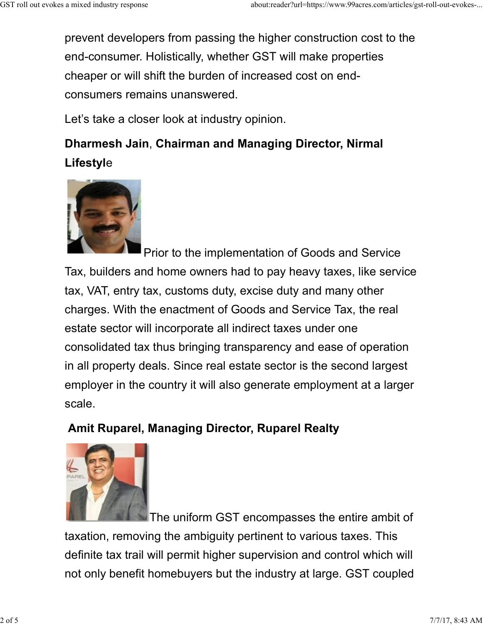prevent developers from passing the higher construction cost to the end-consumer. Holistically, whether GST will make properties cheaper or will shift the burden of increased cost on endconsumers remains unanswered. GST roll out evokes a mixed industry response<br>
prevent developers from passing the higher construction cost to the<br>
end-consumer. Holistically, whether CST will make properties

Let's take a closer look at industry opinion.

## Dharmesh Jain, Chairman and Managing Director, Nirmal Lifestyle



Prior to the implementation of Goods and Service Tax, builders and home owners had to pay heavy taxes, like service tax, VAT, entry tax, customs duty, excise duty and many other charges. With the enactment of Goods and Service Tax, the real estate sector will incorporate all indirect taxes under one consolidated tax thus bringing transparency and ease of operation in all property deals. Since real estate sector is the second largest employer in the country it will also generate employment at a larger scale.

### Amit Ruparel, Managing Director, Ruparel Realty



**The uniform GST encompasses the entire ambit of** taxation, removing the ambiguity pertinent to various taxes. This definite tax trail will permit higher supervision and control which will not only benefit homebuyers but the industry at large. GST coupled Amit Ruparel, Managing Director, Ruparel Realty<br>
2 The uniform GST encompasses the entire ambit of<br>
2 of 5 The uniform GST encompasses the entire ambit of<br>
2 of 5 2 of 5 7/7/17, 8:43 AM<br>
4 2 of 5 7/7/17, 8:43 AM<br>
2 of 5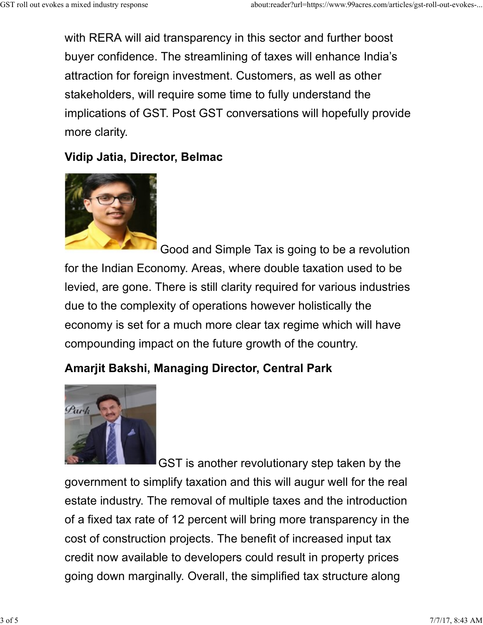with RERA will aid transparency in this sector and further boost buyer confidence. The streamlining of taxes will enhance India's attraction for foreign investment. Customers, as well as other stakeholders, will require some time to fully understand the implications of GST. Post GST conversations will hopefully provide more clarity. GST roll out evokes a mixed industry response<br>
with RERA will aid transparency in this sector and further boost<br>
buyer confidence. The streamlining of taxes will enhance India's

#### Vidip Jatia, Director, Belmac



Good and Simple Tax is going to be a revolution for the Indian Economy. Areas, where double taxation used to be levied, are gone. There is still clarity required for various industries due to the complexity of operations however holistically the economy is set for a much more clear tax regime which will have compounding impact on the future growth of the country.

### Amarjit Bakshi, Managing Director, Central Park



GST is another revolutionary step taken by the government to simplify taxation and this will augur well for the real due to the complexity of operations however holistically the<br>economy is set for a much more clear tax regime which will have<br>compounding impact on the future growth of the country.<br>Amarjit Bakshi, Managing Director, Centra of a fixed tax rate of 12 percent will bring more transparency in the cost of construction projects. The benefit of increased input tax credit now available to developers could result in property prices going down marginally. Overall, the simplified tax structure along GST is another revolutionary step taken by the<br>government to simplify taxation and this will augur well for the real<br>estate industry. The removal of multiple taxes and the introduction<br>of a fixed tax rate of 12 percent wil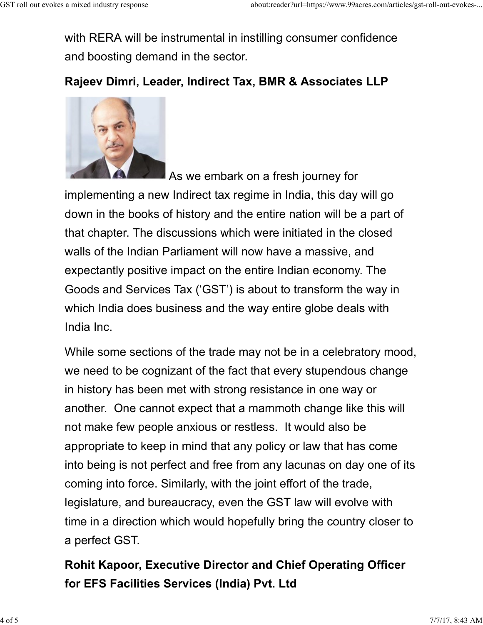with RERA will be instrumental in instilling consumer confidence and boosting demand in the sector. GST roll out evokes a mixed industry response<br>
with RERA will be instrumental in instilling consumer confidence<br>
and boosting demand in the sector

### Rajeev Dimri, Leader, Indirect Tax, BMR & Associates LLP



As we embark on a fresh journey for

implementing a new Indirect tax regime in India, this day will go down in the books of history and the entire nation will be a part of that chapter. The discussions which were initiated in the closed walls of the Indian Parliament will now have a massive, and expectantly positive impact on the entire Indian economy. The Goods and Services Tax ('GST') is about to transform the way in which India does business and the way entire globe deals with India Inc.

While some sections of the trade may not be in a celebratory mood, we need to be cognizant of the fact that every stupendous change in history has been met with strong resistance in one way or another. One cannot expect that a mammoth change like this will not make few people anxious or restless. It would also be appropriate to keep in mind that any policy or law that has come into being is not perfect and free from any lacunas on day one of its coming into force. Similarly, with the joint effort of the trade, legislature, and bureaucracy, even the GST law will evolve with time in a direction which would hopefully bring the country closer to a perfect GST. not make few people anxious or restless. It would also be<br>appropriate to keep in mind that any policy or law that has come<br>into being is not perfect and free from any lacunas on day one of its<br>coming into force. Similarly,

## Rohit Kapoor, Executive Director and Chief Operating Officer for EFS Facilities Services (India) Pvt. Ltd